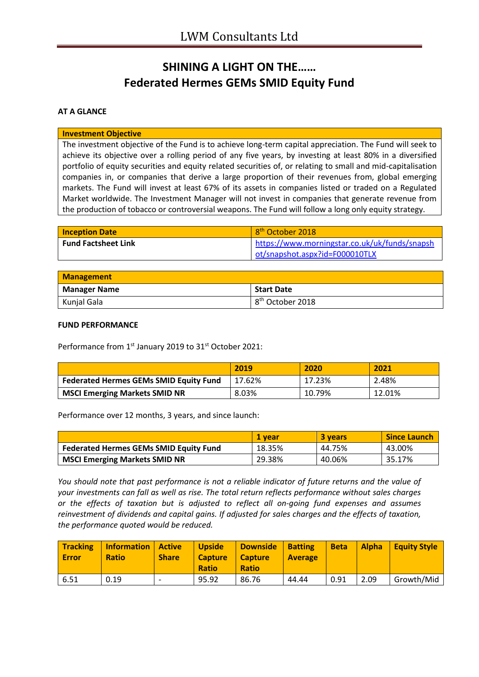# **SHINING A LIGHT ON THE…… Federated Hermes GEMs SMID Equity Fund**

### **AT A GLANCE**

#### **Investment Objective**

The investment objective of the Fund is to achieve long-term capital appreciation. The Fund will seek to achieve its objective over a rolling period of any five years, by investing at least 80% in a diversified portfolio of equity securities and equity related securities of, or relating to small and mid-capitalisation companies in, or companies that derive a large proportion of their revenues from, global emerging markets. The Fund will invest at least 67% of its assets in companies listed or traded on a Regulated Market worldwide. The Investment Manager will not invest in companies that generate revenue from the production of tobacco or controversial weapons. The Fund will follow a long only equity strategy.

| <b>Inception Date</b>      | 8 <sup>th</sup> October 2018                                                    |
|----------------------------|---------------------------------------------------------------------------------|
| <b>Fund Factsheet Link</b> | https://www.morningstar.co.uk/uk/funds/snapsh<br>ot/snapshot.aspx?id=F000010TLX |

| <b>Management</b>   |                              |
|---------------------|------------------------------|
| <b>Manager Name</b> | <b>Start Date</b>            |
| Kunjal Gala         | 8 <sup>th</sup> October 2018 |

#### **FUND PERFORMANCE**

Performance from 1<sup>st</sup> January 2019 to 31<sup>st</sup> October 2021:

|                                               | 2019   | 2020   | 2021   |
|-----------------------------------------------|--------|--------|--------|
| <b>Federated Hermes GEMs SMID Equity Fund</b> | 17.62% | 17.23% | 2.48%  |
| <b>MSCI Emerging Markets SMID NR</b>          | 8.03%  | 10.79% | 12.01% |

Performance over 12 months, 3 years, and since launch:

|                                               | 1 vear | <b>3 years</b> | <b>Since Launch</b> |
|-----------------------------------------------|--------|----------------|---------------------|
| <b>Federated Hermes GEMs SMID Equity Fund</b> | 18.35% | 44.75%         | 43.00%              |
| <b>MSCI Emerging Markets SMID NR</b>          | 29.38% | 40.06%         | 35.17%              |

*You should note that past performance is not a reliable indicator of future returns and the value of your investments can fall as well as rise. The total return reflects performance without sales charges or the effects of taxation but is adjusted to reflect all on-going fund expenses and assumes reinvestment of dividends and capital gains. If adjusted for sales charges and the effects of taxation, the performance quoted would be reduced.*

| <b>Tracking</b><br><b>Error</b> | <b>Information</b><br><b>Ratio</b> | <i><b>Active</b></i><br><b>Share</b> | <b>Upside</b><br><b>Capture</b><br><b>Ratio</b> | Downside<br><b>Capture</b><br><b>Ratio</b> | <b>Batting</b><br><b>Average</b> | <b>Beta</b> | <b>Alpha</b> | <b>Equity Style</b> |
|---------------------------------|------------------------------------|--------------------------------------|-------------------------------------------------|--------------------------------------------|----------------------------------|-------------|--------------|---------------------|
| 6.51                            | 0.19                               |                                      | 95.92                                           | 86.76                                      | 44.44                            | 0.91        | 2.09         | Growth/Mid          |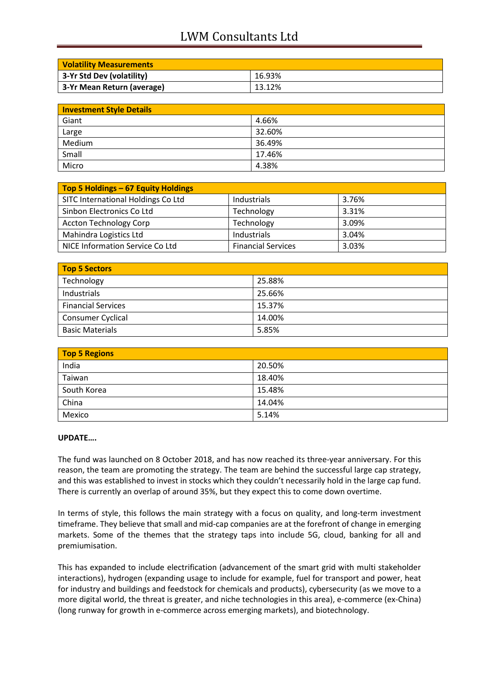# LWM Consultants Ltd

| <b>Volatility Measurements</b> |        |
|--------------------------------|--------|
| 3-Yr Std Dev (volatility)      | 16.93% |
| 3-Yr Mean Return (average)     | 13.12% |

| <b>Investment Style Details</b> |        |
|---------------------------------|--------|
| Giant                           | 4.66%  |
| Large                           | 32.60% |
| Medium                          | 36.49% |
| Small                           | 17.46% |
| Micro                           | 4.38%  |

| Top 5 Holdings - 67 Equity Holdings |                           |       |
|-------------------------------------|---------------------------|-------|
| SITC International Holdings Co Ltd  | Industrials               | 3.76% |
| Sinbon Electronics Co Ltd           | Technology                | 3.31% |
| <b>Accton Technology Corp</b>       | Technology                | 3.09% |
| Mahindra Logistics Ltd              | Industrials               | 3.04% |
| NICE Information Service Co Ltd     | <b>Financial Services</b> | 3.03% |

| Top 5 Sectors             |        |
|---------------------------|--------|
| Technology                | 25.88% |
| Industrials               | 25.66% |
| <b>Financial Services</b> | 15.37% |
| Consumer Cyclical         | 14.00% |
| <b>Basic Materials</b>    | 5.85%  |

| <b>Top 5 Regions</b> |        |
|----------------------|--------|
| India                | 20.50% |
| Taiwan               | 18.40% |
| South Korea          | 15.48% |
| China                | 14.04% |
| Mexico               | 5.14%  |

### **UPDATE….**

The fund was launched on 8 October 2018, and has now reached its three-year anniversary. For this reason, the team are promoting the strategy. The team are behind the successful large cap strategy, and this was established to invest in stocks which they couldn't necessarily hold in the large cap fund. There is currently an overlap of around 35%, but they expect this to come down overtime.

In terms of style, this follows the main strategy with a focus on quality, and long-term investment timeframe. They believe that small and mid-cap companies are at the forefront of change in emerging markets. Some of the themes that the strategy taps into include 5G, cloud, banking for all and premiumisation.

This has expanded to include electrification (advancement of the smart grid with multi stakeholder interactions), hydrogen (expanding usage to include for example, fuel for transport and power, heat for industry and buildings and feedstock for chemicals and products), cybersecurity (as we move to a more digital world, the threat is greater, and niche technologies in this area), e-commerce (ex-China) (long runway for growth in e-commerce across emerging markets), and biotechnology.